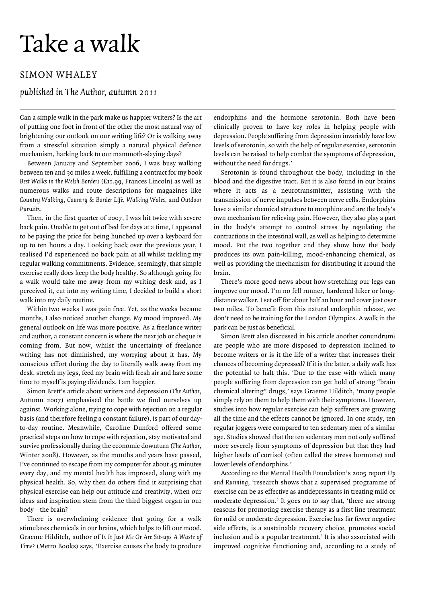## Take a walk

## SIMON WHALEY

## *published in The Author, autumn 2011*

Can a simple walk in the park make us happier writers? Is the art of putting one foot in front of the other the most natural way of brightening our outlook on our writing life? Or is walking away from a stressful situation simply a natural physical defence mechanism, harking back to our mammoth-slaying days?

Between January and September 2006, I was busy walking between ten and 30 miles a week, fulfilling a contract for my book *Best Walks in the Welsh Borders* (£11.99, Frances Lincoln) as well as numerous walks and route descriptions for magazines like *Country Walking, Country & Border Life, Walking Wales, and Outdoor Pursuits*.

Then, in the first quarter of 2007, I was hit twice with severe back pain. Unable to get out of bed for days at a time, I appeared to be paying the price for being hunched up over a keyboard for up to ten hours a day. Looking back over the previous year, I realised I'd experienced no back pain at all whilst tackling my regular walking commitments. Evidence, seemingly, that simple exercise really does keep the body healthy. So although going for a walk would take me away from my writing desk and, as I perceived it, cut into my writing time, I decided to build a short walk into my daily routine.

Within two weeks I was pain free. Yet, as the weeks became months, I also noticed another change. My mood improved. My general outlook on life was more positive. As a freelance writer and author, a constant concern is where the next job or cheque is coming from. But now, whilst the uncertainty of freelance writing has not diminished, my worrying about it has. My conscious effort during the day to literally walk away from my desk, stretch my legs, feed my brain with fresh air and have some time to myself is paying dividends. I am happier.

Simon Brett's article about writers and depression (*The Author*, Autumn 2007) emphasised the battle we find ourselves up against. Working alone, trying to cope with rejection on a regular basis (and therefore feeling a constant failure), is part of our dayto-day routine. Meanwhile, Caroline Dunford offered some practical steps on how to cope with rejection, stay motivated and survive professionally during the economic downturn (*The Author*, Winter 2008). However, as the months and years have passed, I've continued to escape from my computer for about 45 minutes every day, and my mental health has improved, along with my physical health. So, why then do others find it surprising that physical exercise can help our attitude and creativity, when our ideas and inspiration stem from the third biggest organ in our body – the brain?

There is overwhelming evidence that going for a walk stimulates chemicals in our brains, which helps to lift our mood. Graeme Hilditch, author of *Is It Just Me Or Are Sit-ups A Waste of Time?* (Metro Books) says, 'Exercise causes the body to produce

endorphins and the hormone serotonin. Both have been clinically proven to have key roles in helping people with depression. People suffering from depression invariably have low levels of serotonin, so with the help of regular exercise, serotonin levels can be raised to help combat the symptoms of depression, without the need for drugs.'

Serotonin is found throughout the body, including in the blood and the digestive tract. But it is also found in our brains where it acts as a neurotransmitter, assisting with the transmission of nerve impulses between nerve cells. Endorphins have a similar chemical structure to morphine and are the body's own mechanism for relieving pain. However, they also play a part in the body's attempt to control stress by regulating the contractions in the intestinal wall, as well as helping to determine mood. Put the two together and they show how the body produces its own pain-killing, mood-enhancing chemical, as well as providing the mechanism for distributing it around the brain.

There's more good news about how stretching our legs can improve our mood. I'm no fell runner, hardened hiker or longdistance walker. I set off for about half an hour and cover just over two miles. To benefit from this natural endorphin release, we don't need to be training for the London Olympics. A walk in the park can be just as beneficial.

Simon Brett also discussed in his article another conundrum: are people who are more disposed to depression inclined to become writers or is it the life of a writer that increases their chances of becoming depressed? If it is the latter, a daily walk has the potential to halt this. 'Due to the ease with which many people suffering from depression can get hold of strong "brain chemical altering" drugs,' says Graeme Hilditch, 'many people simply rely on them to help them with their symptoms. However, studies into how regular exercise can help sufferers are growing all the time and the effects cannot be ignored. In one study, ten regular joggers were compared to ten sedentary men of a similar age. Studies showed that the ten sedentary men not only suffered more severely from symptoms of depression but that they had higher levels of cortisol (often called the stress hormone) and lower levels of endorphins.'

According to the Mental Health Foundation's 2005 report *U p and Running*, 'research shows that a supervised programme of exercise can be as effective as antidepressants in treating mild or moderate depression.' It goes on to say that, 'there are strong reasons for promoting exercise therapy as a first line treatment for mild or moderate depression. Exercise has far fewer negative side effects, is a sustainable recovery choice, promotes social inclusion and is a popular treatment.' It is also associated with improved cognitive functioning and, according to a study of